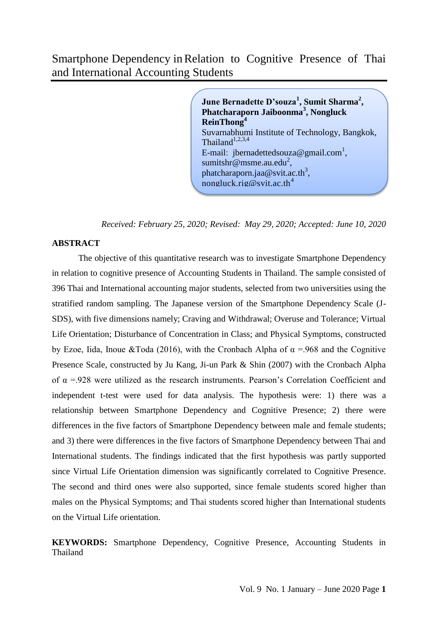# Smartphone Dependency inRelation to Cognitive Presence of Thai and International Accounting Students

**June Bernadette D'souza<sup>1</sup> , Sumit Sharma<sup>2</sup> , Phatcharaporn Jaiboonma<sup>3</sup> , Nongluck ReinThong<sup>4</sup>** Suvarnabhumi Institute of Technology, Bangkok, Thailand $1,2,3,4$ E-mail: [jbernadettedsouza@gmail.com](mailto:%20jbernadettedsouza@gmail.com1)<sup>1</sup>, [sumitshr@msme.au.edu](mailto:%20sumitshr@msme.au.edu2)<sup>2</sup>, [phatcharaporn.jaa@svit.ac.th](mailto:%20phatcharaporn.jaa@svit.ac.th3)<sup>3</sup>, [nongluck.rig@svit.ac.th](mailto:mayuree.ke@gmail.com4)<sup>4</sup>

*Received: February 25, 2020; Revised: May 29, 2020; Accepted: June 10, 2020*

### **ABSTRACT**

The objective of this quantitative research was to investigate Smartphone Dependency in relation to cognitive presence of Accounting Students in Thailand. The sample consisted of 396 Thai and International accounting major students, selected from two universities using the stratified random sampling. The Japanese version of the Smartphone Dependency Scale (J-SDS), with five dimensions namely; Craving and Withdrawal; Overuse and Tolerance; Virtual Life Orientation; Disturbance of Concentration in Class; and Physical Symptoms, constructed by Ezoe, Iida, Inoue &Toda (2016), with the Cronbach Alpha of  $\alpha$  =.968 and the Cognitive Presence Scale, constructed by Ju Kang, Ji-un Park & Shin (2007) with the Cronbach Alpha of  $\alpha$  =.928 were utilized as the research instruments. Pearson's Correlation Coefficient and independent t-test were used for data analysis. The hypothesis were: 1) there was a relationship between Smartphone Dependency and Cognitive Presence; 2) there were differences in the five factors of Smartphone Dependency between male and female students; and 3) there were differences in the five factors of Smartphone Dependency between Thai and International students. The findings indicated that the first hypothesis was partly supported since Virtual Life Orientation dimension was significantly correlated to Cognitive Presence. The second and third ones were also supported, since female students scored higher than males on the Physical Symptoms; and Thai students scored higher than International students on the Virtual Life orientation.

**KEYWORDS:** Smartphone Dependency, Cognitive Presence, Accounting Students in Thailand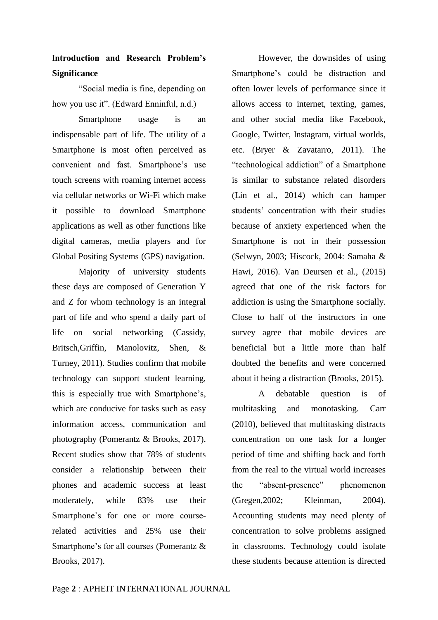# I**ntroduction and Research Problem's Significance**

"Social media is fine, depending on how you use it". (Edward Enninful, n.d.)

Smartphone usage is an indispensable part of life. The utility of a Smartphone is most often perceived as convenient and fast. Smartphone"s use touch screens with roaming internet access via cellular networks or Wi-Fi which make it possible to download Smartphone applications as well as other functions like digital cameras, media players and for Global Positing Systems (GPS) navigation.

Majority of university students these days are composed of Generation Y and Z for whom technology is an integral part of life and who spend a daily part of life on social networking (Cassidy, Britsch,Griffin, Manolovitz, Shen, & Turney, 2011). Studies confirm that mobile technology can support student learning, this is especially true with Smartphone"s, which are conducive for tasks such as easy information access, communication and photography (Pomerantz & Brooks, 2017). Recent studies show that 78% of students consider a relationship between their phones and academic success at least moderately, while 83% use their Smartphone"s for one or more courserelated activities and 25% use their Smartphone's for all courses (Pomerantz & Brooks, 2017).

However, the downsides of using Smartphone"s could be distraction and often lower levels of performance since it allows access to internet, texting, games, and other social media like Facebook, Google, Twitter, Instagram, virtual worlds, etc. (Bryer & Zavatarro, 2011). The "technological addiction" of a Smartphone is similar to substance related disorders (Lin et al., 2014) which can hamper students' concentration with their studies because of anxiety experienced when the Smartphone is not in their possession (Selwyn, 2003; Hiscock, 2004: Samaha & Hawi, 2016). Van Deursen et al., (2015) agreed that one of the risk factors for addiction is using the Smartphone socially. Close to half of the instructors in one survey agree that mobile devices are beneficial but a little more than half doubted the benefits and were concerned about it being a distraction (Brooks, 2015).

A debatable question is of multitasking and monotasking. Carr (2010), believed that multitasking distracts concentration on one task for a longer period of time and shifting back and forth from the real to the virtual world increases the "absent-presence" phenomenon (Gregen,2002; Kleinman, 2004). Accounting students may need plenty of concentration to solve problems assigned in classrooms. Technology could isolate these students because attention is directed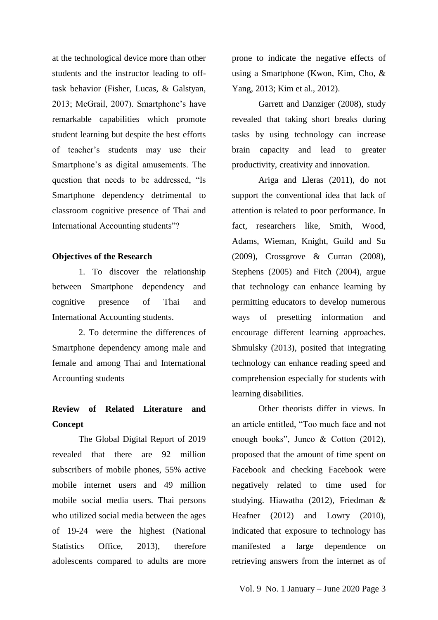at the technological device more than other students and the instructor leading to offtask behavior (Fisher, Lucas, & Galstyan, 2013; McGrail, 2007). Smartphone"s have remarkable capabilities which promote student learning but despite the best efforts of teacher"s students may use their Smartphone"s as digital amusements. The question that needs to be addressed, "Is Smartphone dependency detrimental to classroom cognitive presence of Thai and International Accounting students"?

### **Objectives of the Research**

1. To discover the relationship between Smartphone dependency and cognitive presence of Thai and International Accounting students.

2. To determine the differences of Smartphone dependency among male and female and among Thai and International Accounting students

# **Review of Related Literature and Concept**

The Global Digital Report of 2019 revealed that there are 92 million subscribers of mobile phones, 55% active mobile internet users and 49 million mobile social media users. Thai persons who utilized social media between the ages of 19-24 were the highest (National Statistics Office, 2013), therefore adolescents compared to adults are more prone to indicate the negative effects of using a Smartphone (Kwon, Kim, Cho, & Yang, 2013; Kim et al., 2012).

Garrett and Danziger (2008), study revealed that taking short breaks during tasks by using technology can increase brain capacity and lead to greater productivity, creativity and innovation.

Ariga and Lleras (2011), do not support the conventional idea that lack of attention is related to poor performance. In fact, researchers like, Smith, Wood, Adams, Wieman, Knight, Guild and Su (2009), Crossgrove & Curran (2008), Stephens (2005) and Fitch (2004), argue that technology can enhance learning by permitting educators to develop numerous ways of presetting information and encourage different learning approaches. Shmulsky (2013), posited that integrating technology can enhance reading speed and comprehension especially for students with learning disabilities.

Other theorists differ in views. In an article entitled, "Too much face and not enough books", Junco & Cotton (2012), proposed that the amount of time spent on Facebook and checking Facebook were negatively related to time used for studying. Hiawatha (2012), Friedman & Heafner (2012) and Lowry (2010), indicated that exposure to technology has manifested a large dependence on retrieving answers from the internet as of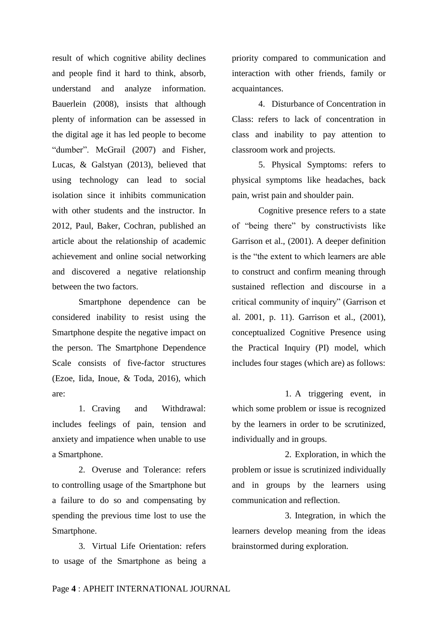result of which cognitive ability declines and people find it hard to think, absorb, understand and analyze information. Bauerlein (2008), insists that although plenty of information can be assessed in the digital age it has led people to become "dumber". McGrail (2007) and Fisher, Lucas, & Galstyan (2013), believed that using technology can lead to social isolation since it inhibits communication with other students and the instructor. In 2012, Paul, Baker, Cochran, published an article about the relationship of academic achievement and online social networking and discovered a negative relationship between the two factors.

Smartphone dependence can be considered inability to resist using the Smartphone despite the negative impact on the person. The Smartphone Dependence Scale consists of five-factor structures (Ezoe, Iida, Inoue, & Toda, 2016), which are:

1. Craving and Withdrawal: includes feelings of pain, tension and anxiety and impatience when unable to use a Smartphone.

2. Overuse and Tolerance: refers to controlling usage of the Smartphone but a failure to do so and compensating by spending the previous time lost to use the Smartphone.

3. Virtual Life Orientation: refers to usage of the Smartphone as being a priority compared to communication and interaction with other friends, family or acquaintances.

4. Disturbance of Concentration in Class: refers to lack of concentration in class and inability to pay attention to classroom work and projects.

5. Physical Symptoms: refers to physical symptoms like headaches, back pain, wrist pain and shoulder pain.

Cognitive presence refers to a state of "being there" by constructivists like Garrison et al., (2001). A deeper definition is the "the extent to which learners are able to construct and confirm meaning through sustained reflection and discourse in a critical community of inquiry" (Garrison et al. 2001, p. 11). Garrison et al., (2001), conceptualized Cognitive Presence using the Practical Inquiry (PI) model, which includes four stages (which are) as follows:

1. A triggering event, in which some problem or issue is recognized by the learners in order to be scrutinized, individually and in groups.

2. Exploration, in which the problem or issue is scrutinized individually and in groups by the learners using communication and reflection.

3. Integration, in which the learners develop meaning from the ideas brainstormed during exploration.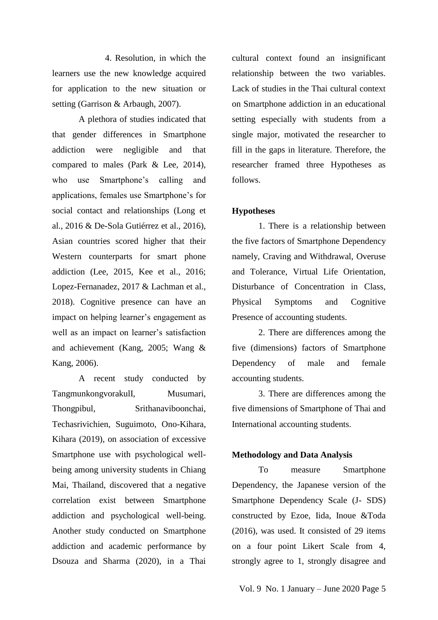4. Resolution, in which the learners use the new knowledge acquired for application to the new situation or setting (Garrison & Arbaugh, 2007).

A plethora of studies indicated that that gender differences in Smartphone addiction were negligible and that compared to males (Park & Lee, 2014), who use Smartphone's calling and applications, females use Smartphone"s for social contact and relationships (Long et al., 2016 & De-Sola Gutiérrez et al., 2016), Asian countries scored higher that their Western counterparts for smart phone addiction (Lee, 2015, Kee et al., 2016; Lopez-Fernanadez, 2017 & Lachman et al., 2018). Cognitive presence can have an impact on helping learner's engagement as well as an impact on learner's satisfaction and achievement (Kang, 2005; Wang & Kang, 2006).

A recent study conducted by TangmunkongvorakulI, Musumari, Thongpibul, Srithanaviboonchai, Techasrivichien, Suguimoto, Ono-Kihara, Kihara (2019), on association of excessive Smartphone use with psychological wellbeing among university students in Chiang Mai, Thailand, discovered that a negative correlation exist between Smartphone addiction and psychological well-being. Another study conducted on Smartphone addiction and academic performance by Dsouza and Sharma (2020), in a Thai cultural context found an insignificant relationship between the two variables. Lack of studies in the Thai cultural context on Smartphone addiction in an educational setting especially with students from a single major, motivated the researcher to fill in the gaps in literature. Therefore, the researcher framed three Hypotheses as follows.

#### **Hypotheses**

1. There is a relationship between the five factors of Smartphone Dependency namely, Craving and Withdrawal, Overuse and Tolerance, Virtual Life Orientation, Disturbance of Concentration in Class, Physical Symptoms and Cognitive Presence of accounting students.

2. There are differences among the five (dimensions) factors of Smartphone Dependency of male and female accounting students.

3. There are differences among the five dimensions of Smartphone of Thai and International accounting students.

### **Methodology and Data Analysis**

To measure Smartphone Dependency, the Japanese version of the Smartphone Dependency Scale (J- SDS) constructed by Ezoe, Iida, Inoue &Toda (2016), was used. It consisted of 29 items on a four point Likert Scale from 4, strongly agree to 1, strongly disagree and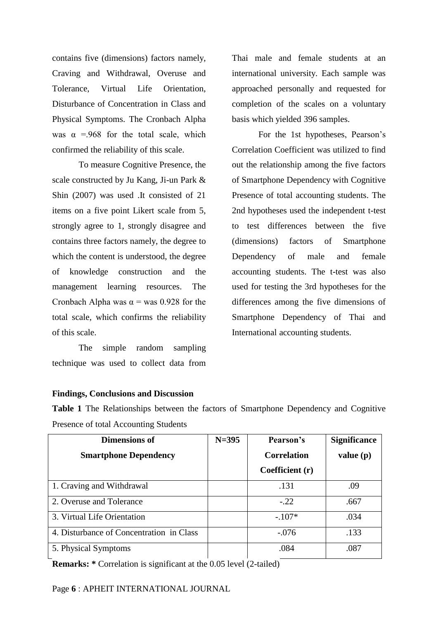contains five (dimensions) factors namely, Craving and Withdrawal, Overuse and Tolerance, Virtual Life Orientation, Disturbance of Concentration in Class and Physical Symptoms. The Cronbach Alpha was  $\alpha$  =.968 for the total scale, which confirmed the reliability of this scale.

To measure Cognitive Presence, the scale constructed by Ju Kang, Ji-un Park & Shin (2007) was used .It consisted of 21 items on a five point Likert scale from 5, strongly agree to 1, strongly disagree and contains three factors namely, the degree to which the content is understood, the degree of knowledge construction and the management learning resources. The Cronbach Alpha was  $\alpha$  = was 0.928 for the total scale, which confirms the reliability of this scale.

The simple random sampling technique was used to collect data from Thai male and female students at an international university. Each sample was approached personally and requested for completion of the scales on a voluntary basis which yielded 396 samples.

For the 1st hypotheses, Pearson"s Correlation Coefficient was utilized to find out the relationship among the five factors of Smartphone Dependency with Cognitive Presence of total accounting students. The 2nd hypotheses used the independent t-test to test differences between the five (dimensions) factors of Smartphone Dependency of male and female accounting students. The t-test was also used for testing the 3rd hypotheses for the differences among the five dimensions of Smartphone Dependency of Thai and International accounting students.

### **Findings, Conclusions and Discussion**

**Table 1** The Relationships between the factors of Smartphone Dependency and Cognitive Presence of total Accounting Students

| <b>Dimensions of</b>                     | $N = 395$ | Pearson's          | <b>Significance</b> |
|------------------------------------------|-----------|--------------------|---------------------|
| <b>Smartphone Dependency</b>             |           | <b>Correlation</b> | value(p)            |
|                                          |           | Coefficient (r)    |                     |
| 1. Craving and Withdrawal                |           | .131               | .09                 |
| 2. Overuse and Tolerance                 |           | $-.22$             | .667                |
| 3. Virtual Life Orientation              |           | $-.107*$           | .034                |
| 4. Disturbance of Concentration in Class |           | $-.076$            | .133                |
| 5. Physical Symptoms                     |           | .084               | .087                |

**Remarks:** \* Correlation is significant at the 0.05 level (2-tailed)

Page **6** : APHEIT INTERNATIONAL JOURNAL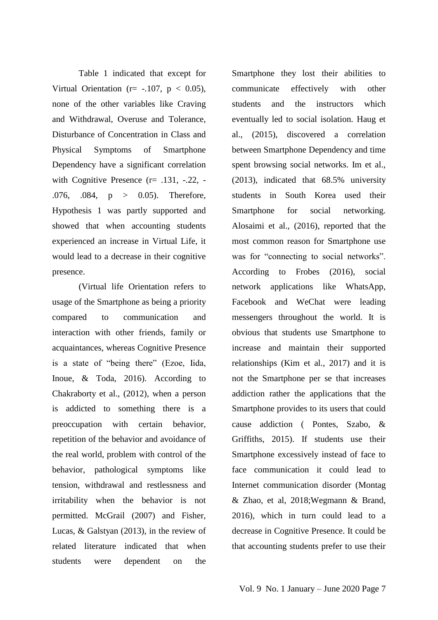Table 1 indicated that except for Virtual Orientation ( $r = -107$ ,  $p < 0.05$ ), none of the other variables like Craving and Withdrawal, Overuse and Tolerance, Disturbance of Concentration in Class and Physical Symptoms of Smartphone Dependency have a significant correlation with Cognitive Presence (r= .131, -.22, -.076, .084, p > 0.05). Therefore, Hypothesis 1 was partly supported and showed that when accounting students experienced an increase in Virtual Life, it would lead to a decrease in their cognitive presence.

(Virtual life Orientation refers to usage of the Smartphone as being a priority compared to communication and interaction with other friends, family or acquaintances, whereas Cognitive Presence is a state of "being there" (Ezoe, Iida, Inoue, & Toda, 2016). According to Chakraborty et al., (2012), when a person is addicted to something there is a preoccupation with certain behavior, repetition of the behavior and avoidance of the real world, problem with control of the behavior, pathological symptoms like tension, withdrawal and restlessness and irritability when the behavior is not permitted. McGrail (2007) and Fisher, Lucas, & Galstyan (2013), in the review of related literature indicated that when students were dependent on the

Smartphone they lost their abilities to communicate effectively with other students and the instructors which eventually led to social isolation. Haug et al., (2015), discovered a correlation between Smartphone Dependency and time spent browsing social networks. Im et al., (2013), indicated that 68.5% university students in South Korea used their Smartphone for social networking. Alosaimi et al., (2016), reported that the most common reason for Smartphone use was for "connecting to social networks". According to Frobes (2016), social network applications like WhatsApp, Facebook and WeChat were leading messengers throughout the world. It is obvious that students use Smartphone to increase and maintain their supported relationships (Kim et al., 2017) and it is not the Smartphone per se that increases addiction rather the applications that the Smartphone provides to its users that could cause addiction ( Pontes, Szabo, & Griffiths, 2015). If students use their Smartphone excessively instead of face to face communication it could lead to Internet communication disorder (Montag & Zhao, et al, 2018;Wegmann & Brand, 2016), which in turn could lead to a decrease in Cognitive Presence. It could be that accounting students prefer to use their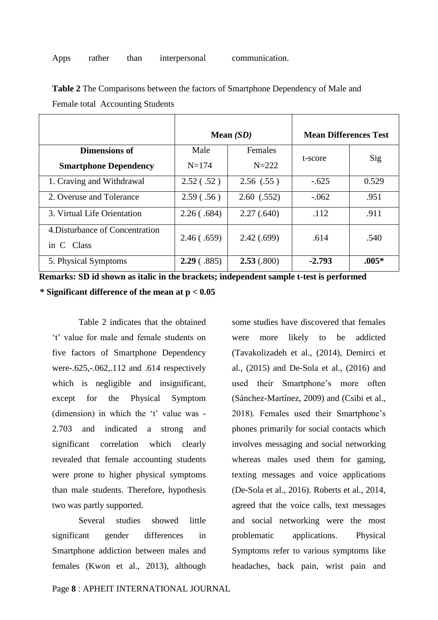|                                               |            | Mean $(SD)$ | <b>Mean Differences Test</b> |         |
|-----------------------------------------------|------------|-------------|------------------------------|---------|
| <b>Dimensions of</b>                          | Male       | Females     |                              |         |
| <b>Smartphone Dependency</b>                  | $N = 174$  | $N = 222$   | t-score                      | Sig     |
| 1. Craving and Withdrawal                     | 2.52(.52)  | 2.56(0.55)  | $-.625$                      | 0.529   |
| 2. Overuse and Tolerance                      | 2.59(.56)  | 2.60(0.552) | $-.062$                      | .951    |
| 3. Virtual Life Orientation                   | 2.26(.684) | 2.27(.640)  | .112                         | .911    |
| 4. Disturbance of Concentration<br>in C Class | 2.46(.659) | 2.42(.699)  | .614                         | .540    |
| 5. Physical Symptoms                          | 2.29(.885) | 2.53(.800)  | $-2.793$                     | $.005*$ |

**Table 2** The Comparisons between the factors of Smartphone Dependency of Male and Female total Accounting Students

**Remarks: SD id shown as italic in the brackets; independent sample t-test is performed \* Significant difference of the mean at p < 0.05** 

Table 2 indicates that the obtained "t" value for male and female students on five factors of Smartphone Dependency were-.625,-.062,.112 and .614 respectively which is negligible and insignificant, except for the Physical Symptom (dimension) in which the 't' value was -2.703 and indicated a strong and significant correlation which clearly revealed that female accounting students were prone to higher physical symptoms than male students. Therefore, hypothesis two was partly supported.

Several studies showed little significant gender differences in Smartphone addiction between males and females (Kwon et al., 2013), although some studies have discovered that females were more likely to be addicted (Tavakolizadeh et al., (2014), Demirci et al., (2015) and De-Sola et al., (2016) and used their Smartphone's more often (Sánchez-Martínez, 2009) and (Csibi et al., 2018). Females used their Smartphone"s phones primarily for social contacts which involves messaging and social networking whereas males used them for gaming, texting messages and voice applications (De-Sola et al., 2016). Roberts et al., 2014, agreed that the voice calls, text messages and social networking were the most problematic applications. Physical Symptoms refer to various symptoms like headaches, back pain, wrist pain and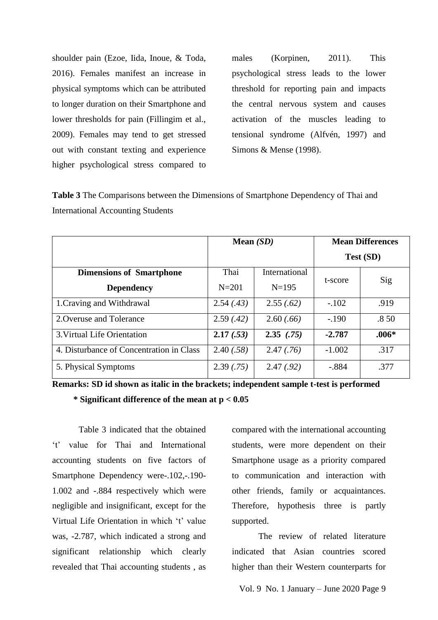shoulder pain (Ezoe, Iida, Inoue, & Toda, 2016). Females manifest an increase in physical symptoms which can be attributed to longer duration on their Smartphone and lower thresholds for pain (Fillingim et al., 2009). Females may tend to get stressed out with constant texting and experience higher psychological stress compared to

males (Korpinen, 2011). This psychological stress leads to the lower threshold for reporting pain and impacts the central nervous system and causes activation of the muscles leading to tensional syndrome (Alfvén, 1997) and Simons & Mense (1998).

**Table 3** The Comparisons between the Dimensions of Smartphone Dependency of Thai and International Accounting Students

|                                          | Mean $(SD)$ |               | <b>Mean Differences</b> |         |
|------------------------------------------|-------------|---------------|-------------------------|---------|
|                                          |             |               | <b>Test (SD)</b>        |         |
| <b>Dimensions of Smartphone</b>          | Thai        | International | t-score                 | Sig     |
| <b>Dependency</b>                        | $N = 201$   | $N = 195$     |                         |         |
| 1. Craving and Withdrawal                | 2.54(.43)   | 2.55(.62)     | $-.102$                 | .919    |
| 2. Overuse and Tolerance                 | 2.59(.42)   | 2.60(.66)     | $-.190$                 | .850    |
| 3. Virtual Life Orientation              | 2.17(.53)   | 2.35(75)      | $-2.787$                | $.006*$ |
| 4. Disturbance of Concentration in Class | 2.40(.58)   | 2.47(.76)     | $-1.002$                | .317    |
| 5. Physical Symptoms                     | 2.39(.75)   | 2.47(.92)     | $-.884$                 | .377    |

**Remarks: SD id shown as italic in the brackets; independent sample t-test is performed** 

 **\* Significant difference of the mean at p < 0.05** 

Table 3 indicated that the obtained "t" value for Thai and International accounting students on five factors of Smartphone Dependency were-.102,-.190- 1.002 and -.884 respectively which were negligible and insignificant, except for the Virtual Life Orientation in which 't' value was, -2.787, which indicated a strong and significant relationship which clearly revealed that Thai accounting students , as compared with the international accounting students, were more dependent on their Smartphone usage as a priority compared to communication and interaction with other friends, family or acquaintances. Therefore, hypothesis three is partly supported.

The review of related literature indicated that Asian countries scored higher than their Western counterparts for

Vol. 9 No. 1 January – June 2020 Page 9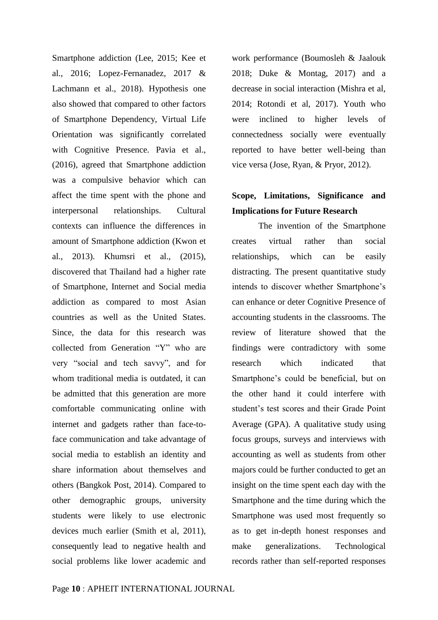Smartphone addiction (Lee, 2015; Kee et al., 2016; Lopez-Fernanadez, 2017 & Lachmann et al., 2018). Hypothesis one also showed that compared to other factors of Smartphone Dependency, Virtual Life Orientation was significantly correlated with Cognitive Presence. Pavia et al., (2016), agreed that Smartphone addiction was a compulsive behavior which can affect the time spent with the phone and interpersonal relationships. Cultural contexts can influence the differences in amount of Smartphone addiction (Kwon et al., 2013). Khumsri et al., (2015), discovered that Thailand had a higher rate of Smartphone, Internet and Social media addiction as compared to most Asian countries as well as the United States. Since, the data for this research was collected from Generation "Y" who are very "social and tech savvy", and for whom traditional media is outdated, it can be admitted that this generation are more comfortable communicating online with internet and gadgets rather than face-toface communication and take advantage of social media to establish an identity and share information about themselves and others (Bangkok Post, 2014). Compared to other demographic groups, university students were likely to use electronic devices much earlier (Smith et al, 2011), consequently lead to negative health and social problems like lower academic and work performance (Boumosleh & Jaalouk 2018; Duke & Montag, 2017) and a decrease in social interaction (Mishra et al, 2014; Rotondi et al, 2017). Youth who were inclined to higher levels of connectedness socially were eventually reported to have better well-being than vice versa (Jose, Ryan, & Pryor, 2012).

# **Scope, Limitations, Significance and Implications for Future Research**

The invention of the Smartphone creates virtual rather than social relationships, which can be easily distracting. The present quantitative study intends to discover whether Smartphone"s can enhance or deter Cognitive Presence of accounting students in the classrooms. The review of literature showed that the findings were contradictory with some research which indicated that Smartphone's could be beneficial, but on the other hand it could interfere with student"s test scores and their Grade Point Average (GPA). A qualitative study using focus groups, surveys and interviews with accounting as well as students from other majors could be further conducted to get an insight on the time spent each day with the Smartphone and the time during which the Smartphone was used most frequently so as to get in-depth honest responses and make generalizations. Technological records rather than self-reported responses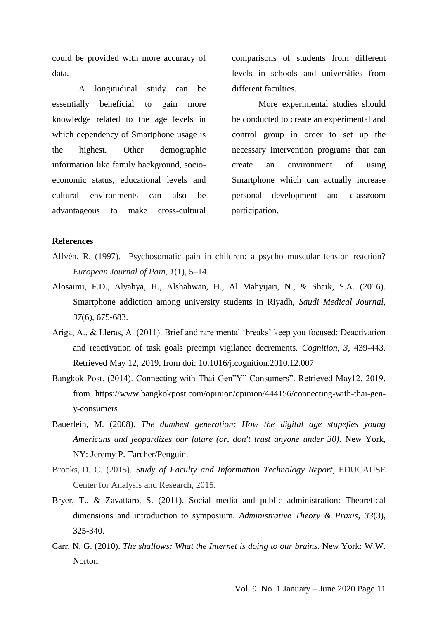could be provided with more accuracy of data.

A longitudinal study can be essentially beneficial to gain more knowledge related to the age levels in which dependency of Smartphone usage is the highest. Other demographic information like family background, socioeconomic status, educational levels and cultural environments can also be advantageous to make cross-cultural comparisons of students from different levels in schools and universities from different faculties.

More experimental studies should be conducted to create an experimental and control group in order to set up the necessary intervention programs that can create an environment of using Smartphone which can actually increase personal development and classroom participation.

### **References**

- Alfvén, R. (1997). Psychosomatic pain in children: a psycho muscular tension reaction? *European Journal of Pain*, *1*(1), 5–14.
- Alosaimi, F.D., Alyahya, H., Alshahwan, H., Al Mahyijari, N., & Shaik, S.A. (2016). Smartphone addiction among university students in Riyadh, *Saudi Medical Journal*, *37*(6), 675-683.
- Ariga, A., & Lleras, A. (2011). Brief and rare mental "breaks" keep you focused: Deactivation and reactivation of task goals preempt vigilance decrements. *Cognition, 3,* 439-443. Retrieved May 12, 2019, from doi: 10.1016/j.cognition.2010.12.007
- Bangkok Post. (2014). Connecting with Thai Gen"Y" Consumers". Retrieved May12, 2019, from https://www.bangkokpost.com/opinion/opinion/444156/connecting-with-thai-geny-consumers
- Bauerlein, M. (2008). *The dumbest generation: How the digital age stupefies young Americans and jeopardizes our future (or, don't trust anyone under 30)*. New York, NY: Jeremy P. Tarcher/Penguin.
- Brooks, D. C. (2015). *[Study of Faculty and Information Technology Report](https://library.educause.edu/resources/2015/11/2015-study-of-faculty-and-information-technology-report)*, EDUCAUSE Center for Analysis and Research, 2015.
- Bryer, T., & Zavattaro, S. (2011). Social media and public administration: Theoretical dimensions and introduction to symposium. *Administrative Theory & Praxis*, *33*(3), 325-340.
- Carr, N. G. (2010). *The shallows: What the Internet is doing to our brains*. New York: W.W. Norton.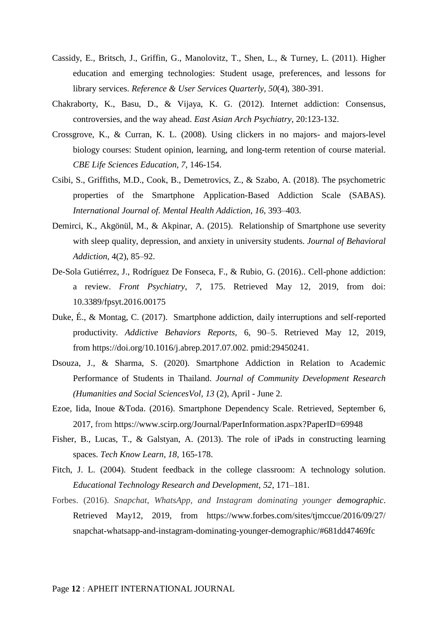- Cassidy, E., Britsch, J., Griffin, G., Manolovitz, T., Shen, L., & Turney, L. (2011). Higher education and emerging technologies: Student usage, preferences, and lessons for library services. *Reference & User Services Quarterly*, *50*(4), 380-391.
- Chakraborty, K., Basu, D., & Vijaya, K. G. (2012). Internet addiction: Consensus, controversies, and the way ahead. *East Asian Arch Psychiatry*, 20:123-132.
- Crossgrove, K., & Curran, K. L. (2008). Using clickers in no majors- and majors-level biology courses: Student opinion, learning, and long-term retention of course material. *CBE Life Sciences Education, 7*, 146-154.
- Csibi, S., Griffiths, M.D., Cook, B., Demetrovics, Z., & Szabo, A. (2018). The psychometric properties of the Smartphone Application-Based Addiction Scale (SABAS). *International Journal of. Mental Health Addiction, 16*, 393–403.
- Demirci, K., Akgönül, M., & Akpinar, A. (2015). Relationship of Smartphone use severity with sleep quality, depression, and anxiety in university students. *Journal of Behavioral Addiction,* 4(2), 85–92.
- De-Sola Gutiérrez, J., Rodríguez De Fonseca, F., & Rubio, G. (2016).. Cell-phone addiction: a review. *Front Psychiatry*, *7*, 175. Retrieved May 12, 2019, from doi: 10.3389/fpsyt.2016.00175
- Duke, É., & Montag, C. (2017). Smartphone addiction, daily interruptions and self-reported productivity. *Addictive Behaviors Reports,* 6, 90–5. Retrieved May 12, 2019, from [https://doi.org/10.1016/j.abrep.2017.07.002. pmid:29450241.](https://doi.org/10.1016/j.abrep.2017.07.002.%20pmid:29450241)
- Dsouza, J., & Sharma, S. (2020). Smartphone Addiction in Relation to Academic Performance of Students in Thailand. *Journal of Community Development Research (Humanities and Social SciencesVol, 13* (2), April - June 2.
- Ezoe, Iida, Inoue &Toda. (2016). Smartphone Dependency Scale. Retrieved, September 6, 2017, from https://www.scirp.org/Journal/PaperInformation.aspx?PaperID=69948
- Fisher, B., Lucas, T., & Galstyan, A. (2013). The role of iPads in constructing learning spaces. *Tech Know Learn, 18,* 165-178.
- Fitch, J. L. (2004). Student feedback in the college classroom: A technology solution. *Educational Technology Research and Development, 52*, 171–181.
- Forbes. (2016). *Snapchat, WhatsApp, and Instagram dominating younger demographic*. Retrieved May12, 2019, from [https://www.forbes.com/sites/tjmccue/2016/09/27/](https://www.forbes.com/sites/tjmccue/2016/09/27/%20snapchat-whatsapp-and-instagram-dominating-younger-demographic/#681dd47469fc)  [snapchat-whatsapp-and-instagram-dominating-younger-demographic/#681dd47469fc](https://www.forbes.com/sites/tjmccue/2016/09/27/%20snapchat-whatsapp-and-instagram-dominating-younger-demographic/#681dd47469fc)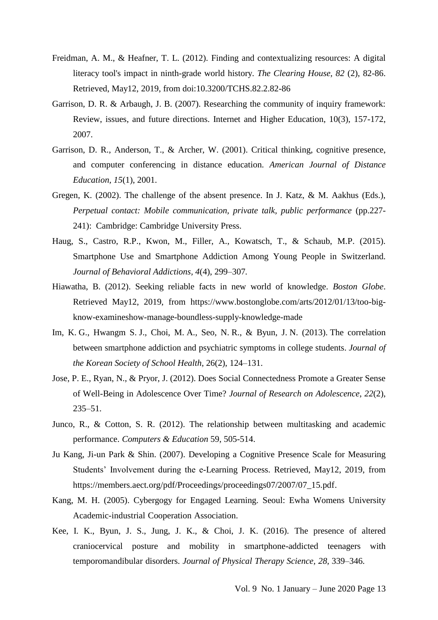- Freidman, A. M., & Heafner, T. L. (2012). Finding and contextualizing resources: A digital literacy tool's impact in ninth-grade world history. *The Clearing House, 82* (2), 82-86. Retrieved, May12, 2019, from doi:10.3200/TCHS.82.2.82-86
- Garrison, D. R. & Arbaugh, J. B. (2007). Researching the community of inquiry framework: Review, issues, and future directions. Internet and Higher Education, 10(3), 157-172, 2007.
- Garrison, D. R., Anderson, T., & Archer, W. (2001). Critical thinking, cognitive presence, and computer conferencing in distance education. *American Journal of Distance Education, 15*(1), 2001.
- Gregen, K. (2002). The challenge of the absent presence. In J. Katz, & M. Aakhus (Eds.), *Perpetual contact: Mobile communication, private talk, public performance* (pp.227- 241): Cambridge: Cambridge University Press.
- Haug, S., Castro, R.P., Kwon, M., Filler, A., Kowatsch, T., & Schaub, M.P. (2015). Smartphone Use and Smartphone Addiction Among Young People in Switzerland. *Journal of Behavioral Addictions, 4*(4), 299–307*.*
- Hiawatha, B. (2012). Seeking reliable facts in new world of knowledge. *Boston Globe*. Retrieved May12, 2019, from https://www.bostonglobe.com/arts/2012/01/13/too-bigknow-examineshow-manage-boundless-supply-knowledge-made
- Im, K. G., Hwangm S. J., Choi, M. A., Seo, N. R., & Byun, J. N. (2013). The correlation between smartphone addiction and psychiatric symptoms in college students. *Journal of the Korean Society of School Health*, 26(2), 124–131.
- Jose, P. E., Ryan, N., & Pryor, J. (2012). Does Social Connectedness Promote a Greater Sense of Well-Being in Adolescence Over Time? *Journal of Research on Adolescence*, *22*(2), 235–51.
- Junco, R., & Cotton, S. R. (2012). The relationship between multitasking and academic performance. *Computers & Education* 59, 505-514.
- Ju Kang, Ji-un Park & Shin. (2007). Developing a Cognitive Presence Scale for Measuring Students' Involvement during the e-Learning Process. Retrieved, May12, 2019, from https://members.aect.org/pdf/Proceedings/proceedings07/2007/07\_15.pdf.
- Kang, M. H. (2005). Cybergogy for Engaged Learning. Seoul: Ewha Womens University Academic-industrial Cooperation Association.
- Kee, I. K., Byun, J. S., Jung, J. K., & Choi, J. K. (2016). The presence of altered craniocervical posture and mobility in smartphone-addicted teenagers with temporomandibular disorders. *Journal of Physical Therapy Science, 28,* 339–346.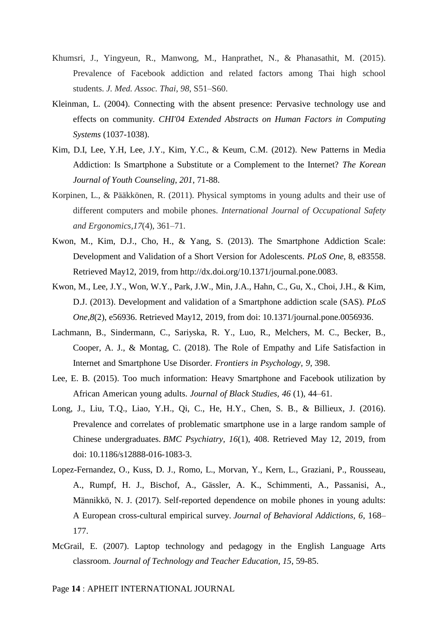- Khumsri, J., Yingyeun, R., Manwong, M., Hanprathet, N., & Phanasathit, M. (2015). Prevalence of Facebook addiction and related factors among Thai high school students. *J. Med. Assoc. Thai*, *98*, S51–S60.
- Kleinman, L. (2004). Connecting with the absent presence: Pervasive technology use and effects on community. *CHI'04 Extended Abstracts on Human Factors in Computing Systems* (1037-1038).
- Kim, D.I, Lee, Y.H, Lee, J.Y., Kim, Y.C., & Keum, C.M. (2012). New Patterns in Media Addiction: Is Smartphone a Substitute or a Complement to the Internet? *The Korean Journal of Youth Counseling*, *201*, 71-88.
- Korpinen, L., & Pääkkönen, R. (2011). Physical symptoms in young adults and their use of different computers and mobile phones. *International Journal of Occupational Safety and Ergonomics,17*(4), 361–71.
- Kwon, M., Kim, D.J., Cho, H., & Yang, S. (2013). The Smartphone Addiction Scale: Development and Validation of a Short Version for Adolescents. *PLoS One*, 8, e83558. Retrieved May12, 2019, from [http://dx.doi.org/10.1371/journal.pone.0083.](http://dx.doi.org/10.1371/journal.pone.0083)
- Kwon, M., Lee, J.Y., Won, W.Y., Park, J.W., Min, J.A., Hahn, C., Gu, X., Choi, J.H., & Kim, D.J. (2013). Development and validation of a Smartphone addiction scale (SAS). *PLoS One*,*8*(2), e56936. Retrieved May12, 2019, from doi: 10.1371/journal.pone.0056936.
- Lachmann, B., Sindermann, C., Sariyska, R. Y., Luo, R., Melchers, M. C., Becker, B., Cooper, A. J., & Montag, C. (2018). The Role of Empathy and Life Satisfaction in Internet and Smartphone Use Disorder. *Frontiers in Psychology, 9,* 398.
- Lee, E. B. (2015). Too much information: Heavy Smartphone and Facebook utilization by African American young adults. *Journal of Black Studies, 46* (1), 44–61.
- Long, J., Liu, T.Q., Liao, Y.H., Qi, C., He, H.Y., Chen, S. B., & Billieux, J. (2016). Prevalence and correlates of problematic smartphone use in a large random sample of Chinese undergraduates. *BMC Psychiatry, 16*(1), 408. Retrieved May 12, 2019, from doi: 10.1186/s12888-016-1083-3.
- Lopez-Fernandez, O., Kuss, D. J., Romo, L., Morvan, Y., Kern, L., Graziani, P., Rousseau, A., Rumpf, H. J., Bischof, A., Gässler, A. K., Schimmenti, A., Passanisi, A., Männikkö, N. J. (2017). Self-reported dependence on mobile phones in young adults: A European cross-cultural empirical survey. *Journal of Behavioral Addictions, 6*, 168– 177.
- McGrail, E. (2007). Laptop technology and pedagogy in the English Language Arts classroom. *Journal of Technology and Teacher Education, 15*, 59-85.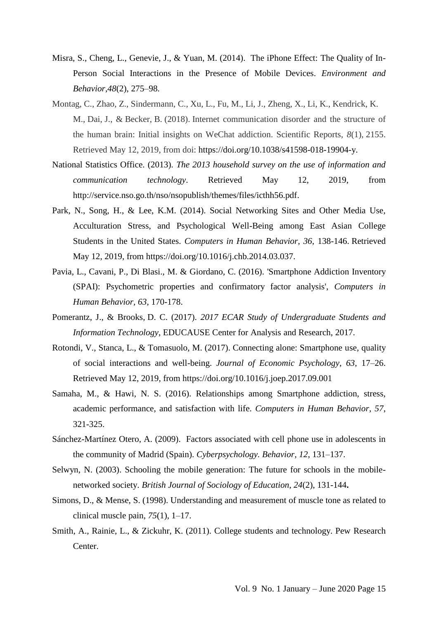- Misra, S., Cheng, L., Genevie, J., & Yuan, M. (2014). The iPhone Effect: The Quality of In-Person Social Interactions in the Presence of Mobile Devices. *Environment and Behavior*,*48*(2), 275–98.
- Montag, C., Zhao, Z., Sindermann, C., Xu, L., Fu, M., Li, J., Zheng, X., Li, K., Kendrick, K. M., Dai, J., & Becker, B. (2018). Internet communication disorder and the structure of the human brain: Initial insights on WeChat addiction. Scientific Reports, *8*(1), 2155. Retrieved May 12, 2019, from doi: https://doi.org/10.1038/s41598-018-19904-y.
- National Statistics Office. (2013). *The 2013 household survey on the use of information and communication technology*. Retrieved May 12, 2019, from [http://service.nso.go.th/nso/nsopublish/themes/files/icthh56.pdf.](http://service.nso.go.th/nso/nsopublish/themes/files/icthh56.pdf)
- Park, N., Song, H., & Lee, K.M. (2014). Social Networking Sites and Other Media Use, Acculturation Stress, and Psychological Well-Being among East Asian College Students in the United States. *Computers in Human Behavior, 36,* 138-146. Retrieved May 12, 2019, from [https://doi.org/10.1016/j.chb.2014.03.037.](https://doi.org/10.1016/j.chb.2014.03.037)
- Pavia, L., Cavani, P., Di Blasi., M. & Giordano, C. (2016). 'Smartphone Addiction Inventory (SPAI): Psychometric properties and confirmatory factor analysis', *Computers in Human Behavior, 63*, 170-178.
- Pomerantz, J., & Brooks, D. C. (2017). *[2017 ECAR Study of Undergraduate Students and](https://library.educause.edu/resources/2017/10/ecar-study-of-undergraduate-students-and-information-technology-2017)  [Information Technology](https://library.educause.edu/resources/2017/10/ecar-study-of-undergraduate-students-and-information-technology-2017)*, EDUCAUSE Center for Analysis and Research, 2017.
- Rotondi, V., Stanca, L., & Tomasuolo, M. (2017). Connecting alone: Smartphone use, quality of social interactions and well-being. *Journal of Economic Psychology*, *63*, 17–26. Retrieved May 12, 2019, from <https://doi.org/10.1016/j.joep.2017.09.001>
- Samaha, M., & Hawi, N. S. (2016). Relationships among Smartphone addiction, stress, academic performance, and satisfaction with life. *Computers in Human Behavior*, *57*, 321-325.
- Sánchez-Martínez Otero, A. (2009). Factors associated with cell phone use in adolescents in the community of Madrid (Spain). *Cyberpsychology. Behavior*, *12*, 131–137.
- Selwyn, N. (2003). Schooling the mobile generation: The future for schools in the mobilenetworked society. *British Journal of Sociology of Education*, *24*(2), 131-144**.**
- Simons, D., & Mense, S. (1998). Understanding and measurement of muscle tone as related to clinical muscle pain, *75*(1), 1–17.
- Smith, A., Rainie, L., & Zickuhr, K. (2011). College students and technology. Pew Research **Center**